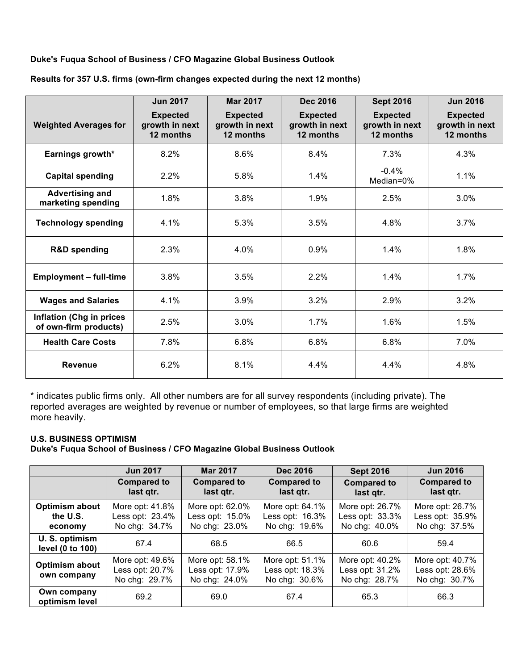## **Duke's Fuqua School of Business / CFO Magazine Global Business Outlook**

|                                                          | <b>Jun 2017</b>                                | <b>Mar 2017</b>                                | <b>Dec 2016</b>                                | <b>Sept 2016</b>                               | <b>Jun 2016</b>                                |
|----------------------------------------------------------|------------------------------------------------|------------------------------------------------|------------------------------------------------|------------------------------------------------|------------------------------------------------|
| <b>Weighted Averages for</b>                             | <b>Expected</b><br>growth in next<br>12 months | <b>Expected</b><br>growth in next<br>12 months | <b>Expected</b><br>growth in next<br>12 months | <b>Expected</b><br>growth in next<br>12 months | <b>Expected</b><br>growth in next<br>12 months |
| Earnings growth*                                         | 8.2%                                           | 8.6%                                           | 8.4%                                           | 7.3%                                           | 4.3%                                           |
| <b>Capital spending</b>                                  | 2.2%                                           | 5.8%                                           | 1.4%                                           | $-0.4%$<br>Median=0%                           | 1.1%                                           |
| <b>Advertising and</b><br>marketing spending             | 1.8%                                           | 3.8%                                           | 1.9%                                           | 2.5%                                           | 3.0%                                           |
| <b>Technology spending</b>                               | 4.1%                                           | 5.3%                                           | 3.5%                                           | 4.8%                                           | 3.7%                                           |
| <b>R&amp;D spending</b>                                  | 2.3%                                           | 4.0%                                           | 0.9%                                           | 1.4%                                           | 1.8%                                           |
| <b>Employment - full-time</b>                            | 3.8%                                           | 3.5%                                           | 2.2%                                           | 1.4%                                           | 1.7%                                           |
| <b>Wages and Salaries</b>                                | 4.1%                                           | 3.9%                                           | 3.2%                                           | 2.9%                                           | 3.2%                                           |
| <b>Inflation (Chg in prices</b><br>of own-firm products) | 2.5%                                           | 3.0%                                           | 1.7%                                           | 1.6%                                           | 1.5%                                           |
| <b>Health Care Costs</b>                                 | 7.8%                                           | 6.8%                                           | 6.8%                                           | 6.8%                                           | 7.0%                                           |
| <b>Revenue</b>                                           | 6.2%                                           | 8.1%                                           | 4.4%                                           | 4.4%                                           | 4.8%                                           |

**Results for 357 U.S. firms (own-firm changes expected during the next 12 months)**

\* indicates public firms only. All other numbers are for all survey respondents (including private). The reported averages are weighted by revenue or number of employees, so that large firms are weighted more heavily.

## **U.S. BUSINESS OPTIMISM**

**Duke's Fuqua School of Business / CFO Magazine Global Business Outlook**

|                                       | <b>Jun 2017</b>                                     | <b>Mar 2017</b>                                     | <b>Dec 2016</b>                                     | <b>Sept 2016</b>                                    | <b>Jun 2016</b>                                     |
|---------------------------------------|-----------------------------------------------------|-----------------------------------------------------|-----------------------------------------------------|-----------------------------------------------------|-----------------------------------------------------|
|                                       | <b>Compared to</b><br>last qtr.                     | <b>Compared to</b><br>last qtr.                     | <b>Compared to</b><br>last qtr.                     | <b>Compared to</b><br>last qtr.                     | <b>Compared to</b><br>last qtr.                     |
| Optimism about<br>the U.S.<br>economy | More opt: 41.8%<br>Less opt: 23.4%<br>No chg: 34.7% | More opt: 62.0%<br>Less opt: 15.0%<br>No chg: 23.0% | More opt: 64.1%<br>Less opt: 16.3%<br>No chg: 19.6% | More opt: 26.7%<br>Less opt: 33.3%<br>No chg: 40.0% | More opt: 26.7%<br>Less opt: 35.9%<br>No chg: 37.5% |
| U.S. optimism<br>level (0 to 100)     | 67.4                                                | 68.5                                                | 66.5                                                | 60.6                                                | 59.4                                                |
| Optimism about<br>own company         | More opt: 49.6%<br>Less opt: 20.7%<br>No chg: 29.7% | More opt: 58.1%<br>Less opt: 17.9%<br>No chg: 24.0% | More opt: 51.1%<br>Less opt: 18.3%<br>No chg: 30.6% | More opt: 40.2%<br>Less opt: 31.2%<br>No chg: 28.7% | More opt: 40.7%<br>Less opt: 28.6%<br>No chg: 30.7% |
| Own company<br>optimism level         | 69.2                                                | 69.0                                                | 67.4                                                | 65.3                                                | 66.3                                                |